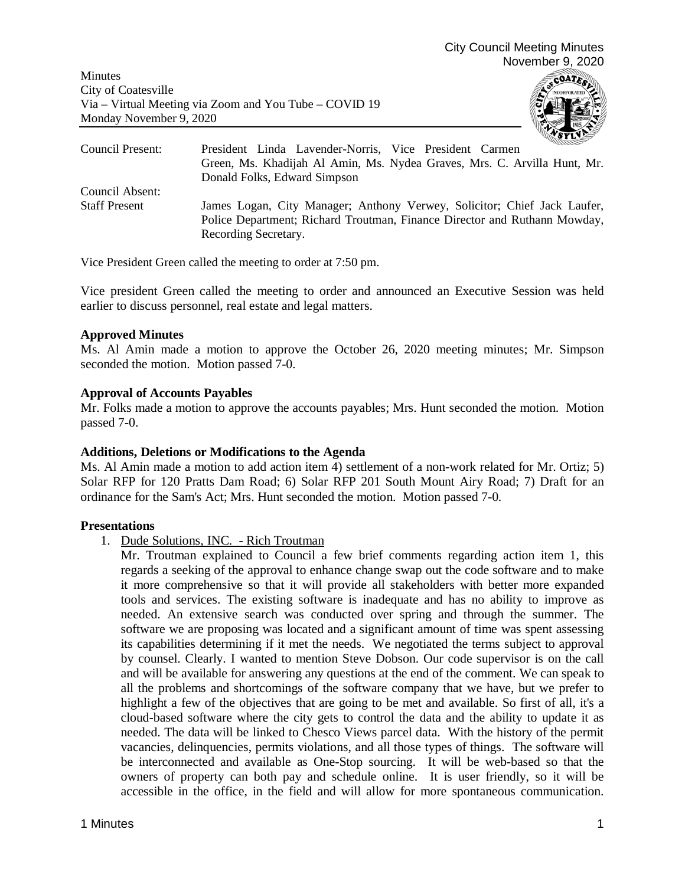

| Council Present:     | mmmm<br>President Linda Lavender-Norris, Vice President Carmen                                                                                                                |
|----------------------|-------------------------------------------------------------------------------------------------------------------------------------------------------------------------------|
|                      | Green, Ms. Khadijah Al Amin, Ms. Nydea Graves, Mrs. C. Arvilla Hunt, Mr.                                                                                                      |
|                      | Donald Folks, Edward Simpson                                                                                                                                                  |
| Council Absent:      |                                                                                                                                                                               |
| <b>Staff Present</b> | James Logan, City Manager; Anthony Verwey, Solicitor; Chief Jack Laufer,<br>Police Department; Richard Troutman, Finance Director and Ruthann Mowday,<br>Recording Secretary. |

Vice President Green called the meeting to order at 7:50 pm.

Vice president Green called the meeting to order and announced an Executive Session was held earlier to discuss personnel, real estate and legal matters.

### **Approved Minutes**

Ms. Al Amin made a motion to approve the October 26, 2020 meeting minutes; Mr. Simpson seconded the motion. Motion passed 7-0.

# **Approval of Accounts Payables**

Mr. Folks made a motion to approve the accounts payables; Mrs. Hunt seconded the motion. Motion passed 7-0.

### **Additions, Deletions or Modifications to the Agenda**

Ms. Al Amin made a motion to add action item 4) settlement of a non-work related for Mr. Ortiz; 5) Solar RFP for 120 Pratts Dam Road; 6) Solar RFP 201 South Mount Airy Road; 7) Draft for an ordinance for the Sam's Act; Mrs. Hunt seconded the motion. Motion passed 7-0.

# **Presentations**

1. Dude Solutions, INC. - Rich Troutman

Mr. Troutman explained to Council a few brief comments regarding action item 1, this regards a seeking of the approval to enhance change swap out the code software and to make it more comprehensive so that it will provide all stakeholders with better more expanded tools and services. The existing software is inadequate and has no ability to improve as needed. An extensive search was conducted over spring and through the summer. The software we are proposing was located and a significant amount of time was spent assessing its capabilities determining if it met the needs. We negotiated the terms subject to approval by counsel. Clearly. I wanted to mention Steve Dobson. Our code supervisor is on the call and will be available for answering any questions at the end of the comment. We can speak to all the problems and shortcomings of the software company that we have, but we prefer to highlight a few of the objectives that are going to be met and available. So first of all, it's a cloud-based software where the city gets to control the data and the ability to update it as needed. The data will be linked to Chesco Views parcel data. With the history of the permit vacancies, delinquencies, permits violations, and all those types of things. The software will be interconnected and available as One-Stop sourcing. It will be web-based so that the owners of property can both pay and schedule online. It is user friendly, so it will be accessible in the office, in the field and will allow for more spontaneous communication.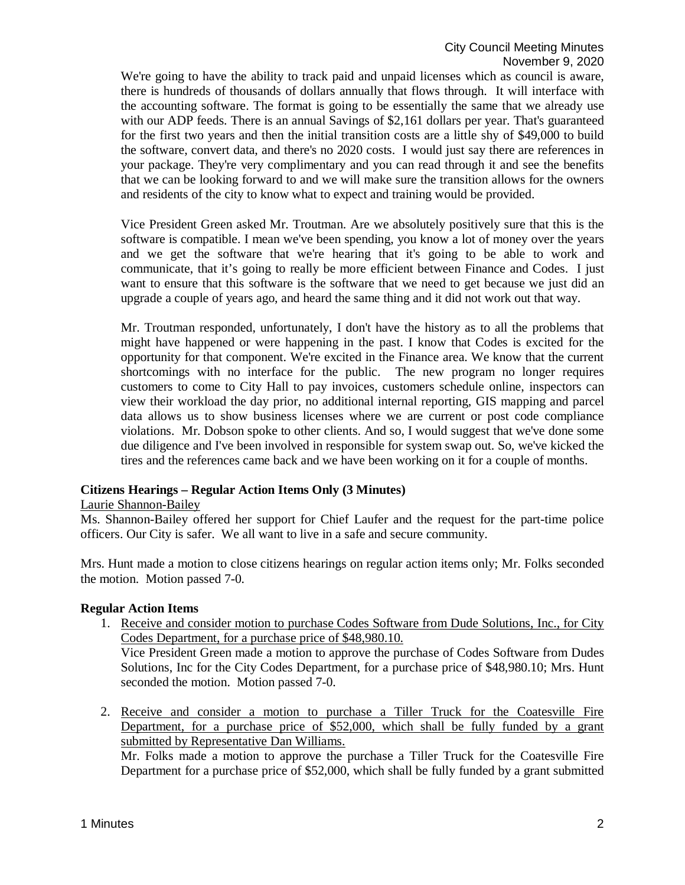We're going to have the ability to track paid and unpaid licenses which as council is aware, there is hundreds of thousands of dollars annually that flows through. It will interface with the accounting software. The format is going to be essentially the same that we already use with our ADP feeds. There is an annual Savings of \$2,161 dollars per year. That's guaranteed for the first two years and then the initial transition costs are a little shy of \$49,000 to build the software, convert data, and there's no 2020 costs. I would just say there are references in your package. They're very complimentary and you can read through it and see the benefits that we can be looking forward to and we will make sure the transition allows for the owners and residents of the city to know what to expect and training would be provided.

Vice President Green asked Mr. Troutman. Are we absolutely positively sure that this is the software is compatible. I mean we've been spending, you know a lot of money over the years and we get the software that we're hearing that it's going to be able to work and communicate, that it's going to really be more efficient between Finance and Codes. I just want to ensure that this software is the software that we need to get because we just did an upgrade a couple of years ago, and heard the same thing and it did not work out that way.

Mr. Troutman responded, unfortunately, I don't have the history as to all the problems that might have happened or were happening in the past. I know that Codes is excited for the opportunity for that component. We're excited in the Finance area. We know that the current shortcomings with no interface for the public. The new program no longer requires customers to come to City Hall to pay invoices, customers schedule online, inspectors can view their workload the day prior, no additional internal reporting, GIS mapping and parcel data allows us to show business licenses where we are current or post code compliance violations. Mr. Dobson spoke to other clients. And so, I would suggest that we've done some due diligence and I've been involved in responsible for system swap out. So, we've kicked the tires and the references came back and we have been working on it for a couple of months.

# **Citizens Hearings – Regular Action Items Only (3 Minutes)**

### Laurie Shannon-Bailey

Ms. Shannon-Bailey offered her support for Chief Laufer and the request for the part-time police officers. Our City is safer. We all want to live in a safe and secure community.

Mrs. Hunt made a motion to close citizens hearings on regular action items only; Mr. Folks seconded the motion. Motion passed 7-0.

### **Regular Action Items**

1. Receive and consider motion to purchase Codes Software from Dude Solutions, Inc., for City Codes Department, for a purchase price of \$48,980.10.

Vice President Green made a motion to approve the purchase of Codes Software from Dudes Solutions, Inc for the City Codes Department, for a purchase price of \$48,980.10; Mrs. Hunt seconded the motion. Motion passed 7-0.

2. Receive and consider a motion to purchase a Tiller Truck for the Coatesville Fire Department, for a purchase price of \$52,000, which shall be fully funded by a grant submitted by Representative Dan Williams.

Mr. Folks made a motion to approve the purchase a Tiller Truck for the Coatesville Fire Department for a purchase price of \$52,000, which shall be fully funded by a grant submitted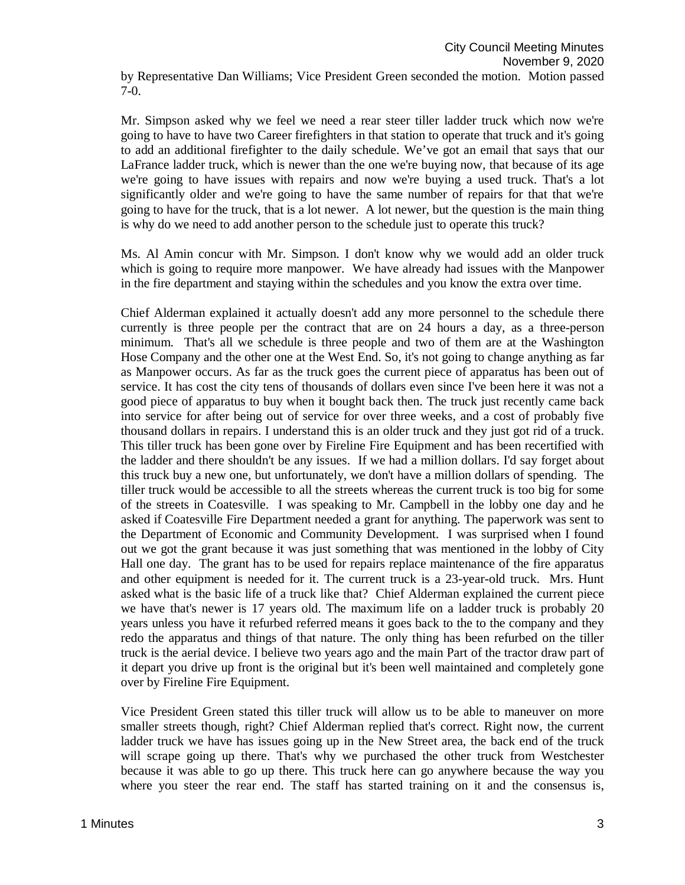Mr. Simpson asked why we feel we need a rear steer tiller ladder truck which now we're going to have to have two Career firefighters in that station to operate that truck and it's going to add an additional firefighter to the daily schedule. We've got an email that says that our LaFrance ladder truck, which is newer than the one we're buying now, that because of its age we're going to have issues with repairs and now we're buying a used truck. That's a lot significantly older and we're going to have the same number of repairs for that that we're going to have for the truck, that is a lot newer. A lot newer, but the question is the main thing is why do we need to add another person to the schedule just to operate this truck?

Ms. Al Amin concur with Mr. Simpson. I don't know why we would add an older truck which is going to require more manpower. We have already had issues with the Manpower in the fire department and staying within the schedules and you know the extra over time.

Chief Alderman explained it actually doesn't add any more personnel to the schedule there currently is three people per the contract that are on 24 hours a day, as a three-person minimum. That's all we schedule is three people and two of them are at the Washington Hose Company and the other one at the West End. So, it's not going to change anything as far as Manpower occurs. As far as the truck goes the current piece of apparatus has been out of service. It has cost the city tens of thousands of dollars even since I've been here it was not a good piece of apparatus to buy when it bought back then. The truck just recently came back into service for after being out of service for over three weeks, and a cost of probably five thousand dollars in repairs. I understand this is an older truck and they just got rid of a truck. This tiller truck has been gone over by Fireline Fire Equipment and has been recertified with the ladder and there shouldn't be any issues. If we had a million dollars. I'd say forget about this truck buy a new one, but unfortunately, we don't have a million dollars of spending. The tiller truck would be accessible to all the streets whereas the current truck is too big for some of the streets in Coatesville. I was speaking to Mr. Campbell in the lobby one day and he asked if Coatesville Fire Department needed a grant for anything. The paperwork was sent to the Department of Economic and Community Development. I was surprised when I found out we got the grant because it was just something that was mentioned in the lobby of City Hall one day. The grant has to be used for repairs replace maintenance of the fire apparatus and other equipment is needed for it. The current truck is a 23-year-old truck. Mrs. Hunt asked what is the basic life of a truck like that? Chief Alderman explained the current piece we have that's newer is 17 years old. The maximum life on a ladder truck is probably 20 years unless you have it refurbed referred means it goes back to the to the company and they redo the apparatus and things of that nature. The only thing has been refurbed on the tiller truck is the aerial device. I believe two years ago and the main Part of the tractor draw part of it depart you drive up front is the original but it's been well maintained and completely gone over by Fireline Fire Equipment.

Vice President Green stated this tiller truck will allow us to be able to maneuver on more smaller streets though, right? Chief Alderman replied that's correct. Right now, the current ladder truck we have has issues going up in the New Street area, the back end of the truck will scrape going up there. That's why we purchased the other truck from Westchester because it was able to go up there. This truck here can go anywhere because the way you where you steer the rear end. The staff has started training on it and the consensus is,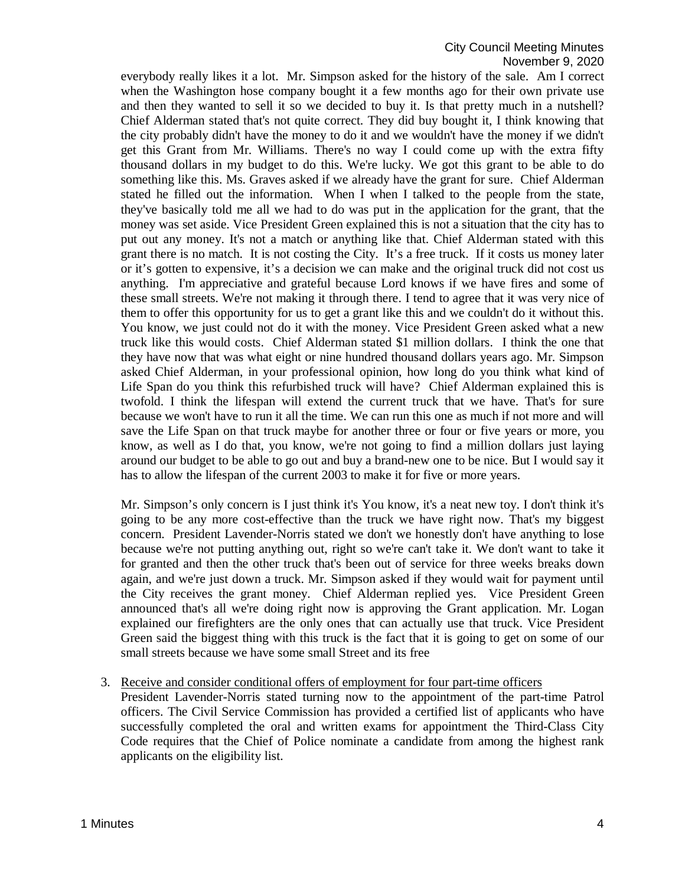everybody really likes it a lot. Mr. Simpson asked for the history of the sale. Am I correct when the Washington hose company bought it a few months ago for their own private use and then they wanted to sell it so we decided to buy it. Is that pretty much in a nutshell? Chief Alderman stated that's not quite correct. They did buy bought it, I think knowing that the city probably didn't have the money to do it and we wouldn't have the money if we didn't get this Grant from Mr. Williams. There's no way I could come up with the extra fifty thousand dollars in my budget to do this. We're lucky. We got this grant to be able to do something like this. Ms. Graves asked if we already have the grant for sure. Chief Alderman stated he filled out the information. When I when I talked to the people from the state, they've basically told me all we had to do was put in the application for the grant, that the money was set aside. Vice President Green explained this is not a situation that the city has to put out any money. It's not a match or anything like that. Chief Alderman stated with this grant there is no match. It is not costing the City. It's a free truck. If it costs us money later or it's gotten to expensive, it's a decision we can make and the original truck did not cost us anything. I'm appreciative and grateful because Lord knows if we have fires and some of these small streets. We're not making it through there. I tend to agree that it was very nice of them to offer this opportunity for us to get a grant like this and we couldn't do it without this. You know, we just could not do it with the money. Vice President Green asked what a new truck like this would costs. Chief Alderman stated \$1 million dollars. I think the one that they have now that was what eight or nine hundred thousand dollars years ago. Mr. Simpson asked Chief Alderman, in your professional opinion, how long do you think what kind of Life Span do you think this refurbished truck will have? Chief Alderman explained this is twofold. I think the lifespan will extend the current truck that we have. That's for sure because we won't have to run it all the time. We can run this one as much if not more and will save the Life Span on that truck maybe for another three or four or five years or more, you know, as well as I do that, you know, we're not going to find a million dollars just laying around our budget to be able to go out and buy a brand-new one to be nice. But I would say it has to allow the lifespan of the current 2003 to make it for five or more years.

Mr. Simpson's only concern is I just think it's You know, it's a neat new toy. I don't think it's going to be any more cost-effective than the truck we have right now. That's my biggest concern. President Lavender-Norris stated we don't we honestly don't have anything to lose because we're not putting anything out, right so we're can't take it. We don't want to take it for granted and then the other truck that's been out of service for three weeks breaks down again, and we're just down a truck. Mr. Simpson asked if they would wait for payment until the City receives the grant money. Chief Alderman replied yes. Vice President Green announced that's all we're doing right now is approving the Grant application. Mr. Logan explained our firefighters are the only ones that can actually use that truck. Vice President Green said the biggest thing with this truck is the fact that it is going to get on some of our small streets because we have some small Street and its free

3. Receive and consider conditional offers of employment for four part-time officers

President Lavender-Norris stated turning now to the appointment of the part-time Patrol officers. The Civil Service Commission has provided a certified list of applicants who have successfully completed the oral and written exams for appointment the Third-Class City Code requires that the Chief of Police nominate a candidate from among the highest rank applicants on the eligibility list.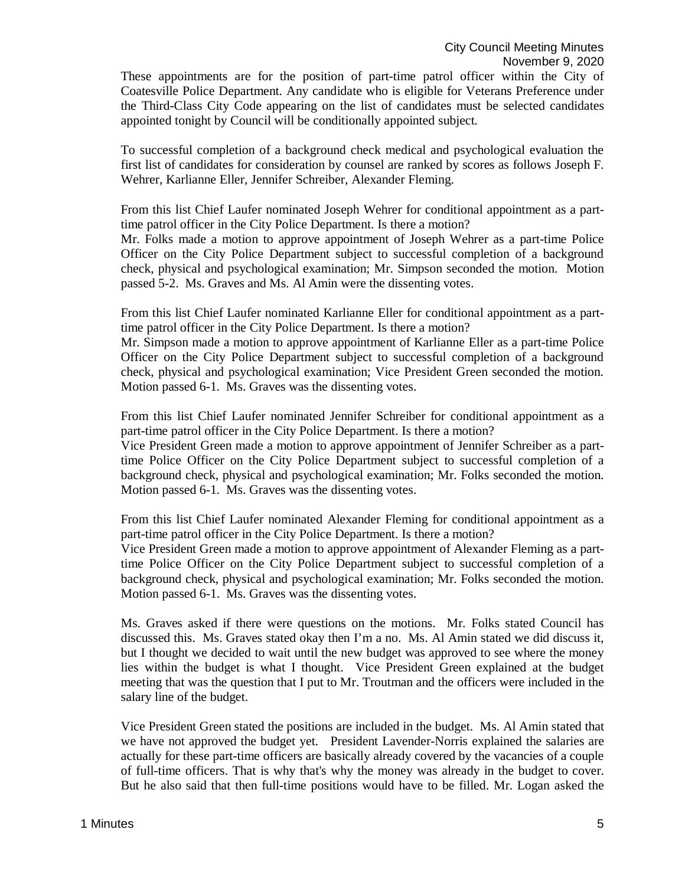These appointments are for the position of part-time patrol officer within the City of Coatesville Police Department. Any candidate who is eligible for Veterans Preference under the Third-Class City Code appearing on the list of candidates must be selected candidates appointed tonight by Council will be conditionally appointed subject.

To successful completion of a background check medical and psychological evaluation the first list of candidates for consideration by counsel are ranked by scores as follows Joseph F. Wehrer, Karlianne Eller, Jennifer Schreiber, Alexander Fleming.

From this list Chief Laufer nominated Joseph Wehrer for conditional appointment as a parttime patrol officer in the City Police Department. Is there a motion?

Mr. Folks made a motion to approve appointment of Joseph Wehrer as a part-time Police Officer on the City Police Department subject to successful completion of a background check, physical and psychological examination; Mr. Simpson seconded the motion. Motion passed 5-2. Ms. Graves and Ms. Al Amin were the dissenting votes.

From this list Chief Laufer nominated Karlianne Eller for conditional appointment as a parttime patrol officer in the City Police Department. Is there a motion?

Mr. Simpson made a motion to approve appointment of Karlianne Eller as a part-time Police Officer on the City Police Department subject to successful completion of a background check, physical and psychological examination; Vice President Green seconded the motion. Motion passed 6-1. Ms. Graves was the dissenting votes.

From this list Chief Laufer nominated Jennifer Schreiber for conditional appointment as a part-time patrol officer in the City Police Department. Is there a motion?

Vice President Green made a motion to approve appointment of Jennifer Schreiber as a parttime Police Officer on the City Police Department subject to successful completion of a background check, physical and psychological examination; Mr. Folks seconded the motion. Motion passed 6-1. Ms. Graves was the dissenting votes.

From this list Chief Laufer nominated Alexander Fleming for conditional appointment as a part-time patrol officer in the City Police Department. Is there a motion?

Vice President Green made a motion to approve appointment of Alexander Fleming as a parttime Police Officer on the City Police Department subject to successful completion of a background check, physical and psychological examination; Mr. Folks seconded the motion. Motion passed 6-1. Ms. Graves was the dissenting votes.

Ms. Graves asked if there were questions on the motions. Mr. Folks stated Council has discussed this. Ms. Graves stated okay then I'm a no. Ms. Al Amin stated we did discuss it, but I thought we decided to wait until the new budget was approved to see where the money lies within the budget is what I thought. Vice President Green explained at the budget meeting that was the question that I put to Mr. Troutman and the officers were included in the salary line of the budget.

Vice President Green stated the positions are included in the budget. Ms. Al Amin stated that we have not approved the budget yet. President Lavender-Norris explained the salaries are actually for these part-time officers are basically already covered by the vacancies of a couple of full-time officers. That is why that's why the money was already in the budget to cover. But he also said that then full-time positions would have to be filled. Mr. Logan asked the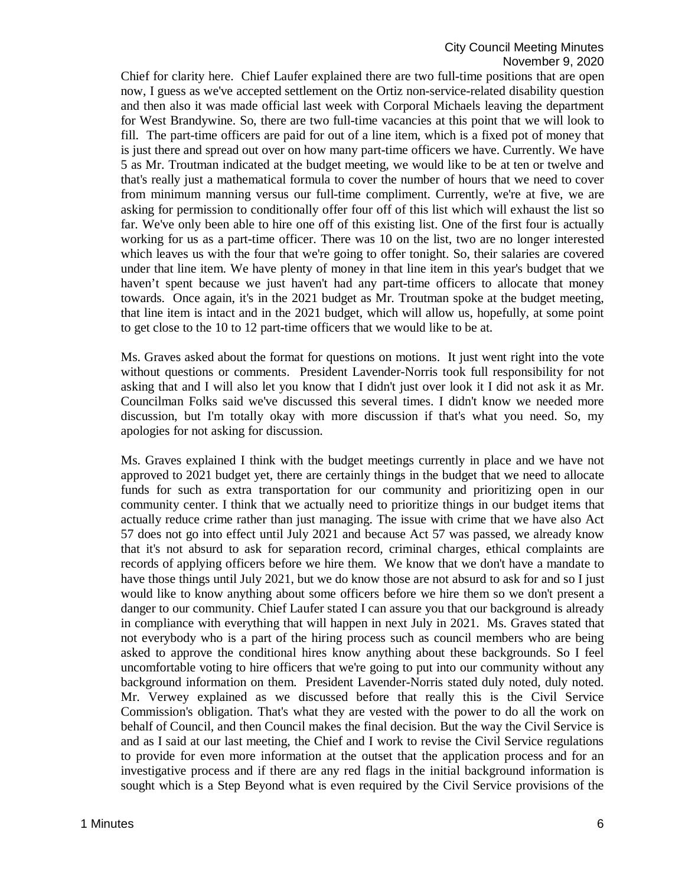Chief for clarity here. Chief Laufer explained there are two full-time positions that are open now, I guess as we've accepted settlement on the Ortiz non-service-related disability question and then also it was made official last week with Corporal Michaels leaving the department for West Brandywine. So, there are two full-time vacancies at this point that we will look to fill. The part-time officers are paid for out of a line item, which is a fixed pot of money that is just there and spread out over on how many part-time officers we have. Currently. We have 5 as Mr. Troutman indicated at the budget meeting, we would like to be at ten or twelve and that's really just a mathematical formula to cover the number of hours that we need to cover from minimum manning versus our full-time compliment. Currently, we're at five, we are asking for permission to conditionally offer four off of this list which will exhaust the list so far. We've only been able to hire one off of this existing list. One of the first four is actually working for us as a part-time officer. There was 10 on the list, two are no longer interested which leaves us with the four that we're going to offer tonight. So, their salaries are covered under that line item. We have plenty of money in that line item in this year's budget that we haven't spent because we just haven't had any part-time officers to allocate that money towards. Once again, it's in the 2021 budget as Mr. Troutman spoke at the budget meeting, that line item is intact and in the 2021 budget, which will allow us, hopefully, at some point to get close to the 10 to 12 part-time officers that we would like to be at.

Ms. Graves asked about the format for questions on motions. It just went right into the vote without questions or comments. President Lavender-Norris took full responsibility for not asking that and I will also let you know that I didn't just over look it I did not ask it as Mr. Councilman Folks said we've discussed this several times. I didn't know we needed more discussion, but I'm totally okay with more discussion if that's what you need. So, my apologies for not asking for discussion.

Ms. Graves explained I think with the budget meetings currently in place and we have not approved to 2021 budget yet, there are certainly things in the budget that we need to allocate funds for such as extra transportation for our community and prioritizing open in our community center. I think that we actually need to prioritize things in our budget items that actually reduce crime rather than just managing. The issue with crime that we have also Act 57 does not go into effect until July 2021 and because Act 57 was passed, we already know that it's not absurd to ask for separation record, criminal charges, ethical complaints are records of applying officers before we hire them. We know that we don't have a mandate to have those things until July 2021, but we do know those are not absurd to ask for and so I just would like to know anything about some officers before we hire them so we don't present a danger to our community. Chief Laufer stated I can assure you that our background is already in compliance with everything that will happen in next July in 2021. Ms. Graves stated that not everybody who is a part of the hiring process such as council members who are being asked to approve the conditional hires know anything about these backgrounds. So I feel uncomfortable voting to hire officers that we're going to put into our community without any background information on them. President Lavender-Norris stated duly noted, duly noted. Mr. Verwey explained as we discussed before that really this is the Civil Service Commission's obligation. That's what they are vested with the power to do all the work on behalf of Council, and then Council makes the final decision. But the way the Civil Service is and as I said at our last meeting, the Chief and I work to revise the Civil Service regulations to provide for even more information at the outset that the application process and for an investigative process and if there are any red flags in the initial background information is sought which is a Step Beyond what is even required by the Civil Service provisions of the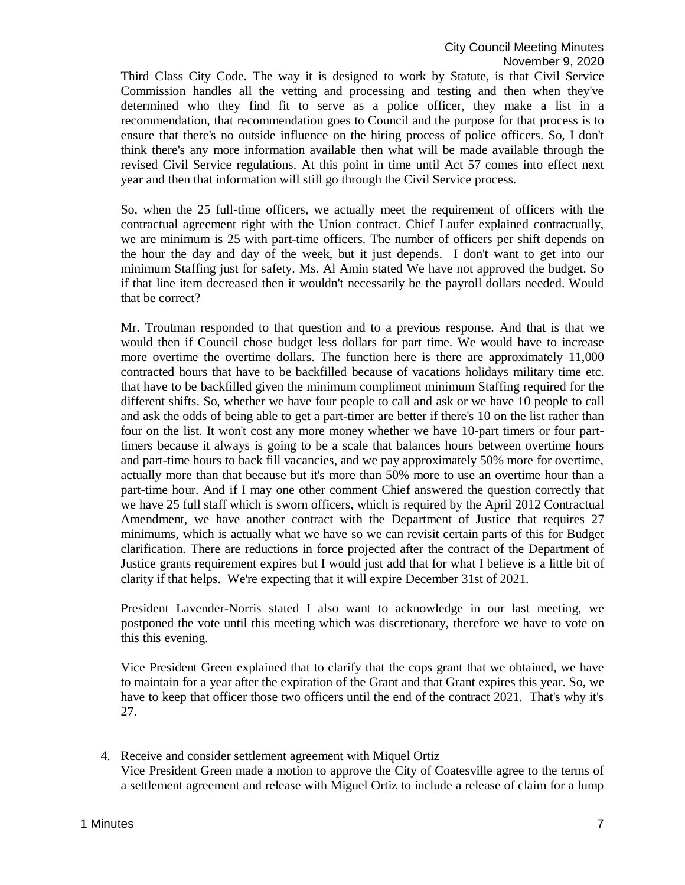Third Class City Code. The way it is designed to work by Statute, is that Civil Service Commission handles all the vetting and processing and testing and then when they've determined who they find fit to serve as a police officer, they make a list in a recommendation, that recommendation goes to Council and the purpose for that process is to ensure that there's no outside influence on the hiring process of police officers. So, I don't think there's any more information available then what will be made available through the revised Civil Service regulations. At this point in time until Act 57 comes into effect next year and then that information will still go through the Civil Service process.

So, when the 25 full-time officers, we actually meet the requirement of officers with the contractual agreement right with the Union contract. Chief Laufer explained contractually, we are minimum is 25 with part-time officers. The number of officers per shift depends on the hour the day and day of the week, but it just depends. I don't want to get into our minimum Staffing just for safety. Ms. Al Amin stated We have not approved the budget. So if that line item decreased then it wouldn't necessarily be the payroll dollars needed. Would that be correct?

Mr. Troutman responded to that question and to a previous response. And that is that we would then if Council chose budget less dollars for part time. We would have to increase more overtime the overtime dollars. The function here is there are approximately 11,000 contracted hours that have to be backfilled because of vacations holidays military time etc. that have to be backfilled given the minimum compliment minimum Staffing required for the different shifts. So, whether we have four people to call and ask or we have 10 people to call and ask the odds of being able to get a part-timer are better if there's 10 on the list rather than four on the list. It won't cost any more money whether we have 10-part timers or four parttimers because it always is going to be a scale that balances hours between overtime hours and part-time hours to back fill vacancies, and we pay approximately 50% more for overtime, actually more than that because but it's more than 50% more to use an overtime hour than a part-time hour. And if I may one other comment Chief answered the question correctly that we have 25 full staff which is sworn officers, which is required by the April 2012 Contractual Amendment, we have another contract with the Department of Justice that requires 27 minimums, which is actually what we have so we can revisit certain parts of this for Budget clarification. There are reductions in force projected after the contract of the Department of Justice grants requirement expires but I would just add that for what I believe is a little bit of clarity if that helps. We're expecting that it will expire December 31st of 2021.

President Lavender-Norris stated I also want to acknowledge in our last meeting, we postponed the vote until this meeting which was discretionary, therefore we have to vote on this this evening.

Vice President Green explained that to clarify that the cops grant that we obtained, we have to maintain for a year after the expiration of the Grant and that Grant expires this year. So, we have to keep that officer those two officers until the end of the contract 2021. That's why it's 27.

4. Receive and consider settlement agreement with Miquel Ortiz

Vice President Green made a motion to approve the City of Coatesville agree to the terms of a settlement agreement and release with Miguel Ortiz to include a release of claim for a lump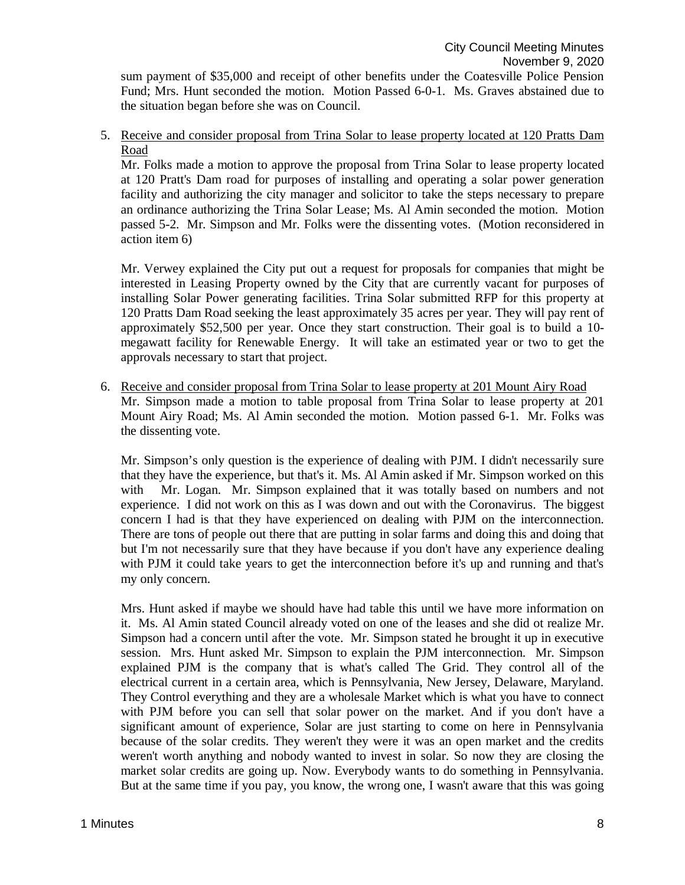sum payment of \$35,000 and receipt of other benefits under the Coatesville Police Pension Fund; Mrs. Hunt seconded the motion. Motion Passed 6-0-1. Ms. Graves abstained due to the situation began before she was on Council.

5. Receive and consider proposal from Trina Solar to lease property located at 120 Pratts Dam Road

Mr. Folks made a motion to approve the proposal from Trina Solar to lease property located at 120 Pratt's Dam road for purposes of installing and operating a solar power generation facility and authorizing the city manager and solicitor to take the steps necessary to prepare an ordinance authorizing the Trina Solar Lease; Ms. Al Amin seconded the motion. Motion passed 5-2. Mr. Simpson and Mr. Folks were the dissenting votes. (Motion reconsidered in action item 6)

Mr. Verwey explained the City put out a request for proposals for companies that might be interested in Leasing Property owned by the City that are currently vacant for purposes of installing Solar Power generating facilities. Trina Solar submitted RFP for this property at 120 Pratts Dam Road seeking the least approximately 35 acres per year. They will pay rent of approximately \$52,500 per year. Once they start construction. Their goal is to build a 10 megawatt facility for Renewable Energy. It will take an estimated year or two to get the approvals necessary to start that project.

6. Receive and consider proposal from Trina Solar to lease property at 201 Mount Airy Road Mr. Simpson made a motion to table proposal from Trina Solar to lease property at 201 Mount Airy Road; Ms. Al Amin seconded the motion. Motion passed 6-1. Mr. Folks was the dissenting vote.

Mr. Simpson's only question is the experience of dealing with PJM. I didn't necessarily sure that they have the experience, but that's it. Ms. Al Amin asked if Mr. Simpson worked on this with Mr. Logan. Mr. Simpson explained that it was totally based on numbers and not experience. I did not work on this as I was down and out with the Coronavirus. The biggest concern I had is that they have experienced on dealing with PJM on the interconnection. There are tons of people out there that are putting in solar farms and doing this and doing that but I'm not necessarily sure that they have because if you don't have any experience dealing with PJM it could take years to get the interconnection before it's up and running and that's my only concern.

Mrs. Hunt asked if maybe we should have had table this until we have more information on it. Ms. Al Amin stated Council already voted on one of the leases and she did ot realize Mr. Simpson had a concern until after the vote. Mr. Simpson stated he brought it up in executive session. Mrs. Hunt asked Mr. Simpson to explain the PJM interconnection. Mr. Simpson explained PJM is the company that is what's called The Grid. They control all of the electrical current in a certain area, which is Pennsylvania, New Jersey, Delaware, Maryland. They Control everything and they are a wholesale Market which is what you have to connect with PJM before you can sell that solar power on the market. And if you don't have a significant amount of experience, Solar are just starting to come on here in Pennsylvania because of the solar credits. They weren't they were it was an open market and the credits weren't worth anything and nobody wanted to invest in solar. So now they are closing the market solar credits are going up. Now. Everybody wants to do something in Pennsylvania. But at the same time if you pay, you know, the wrong one, I wasn't aware that this was going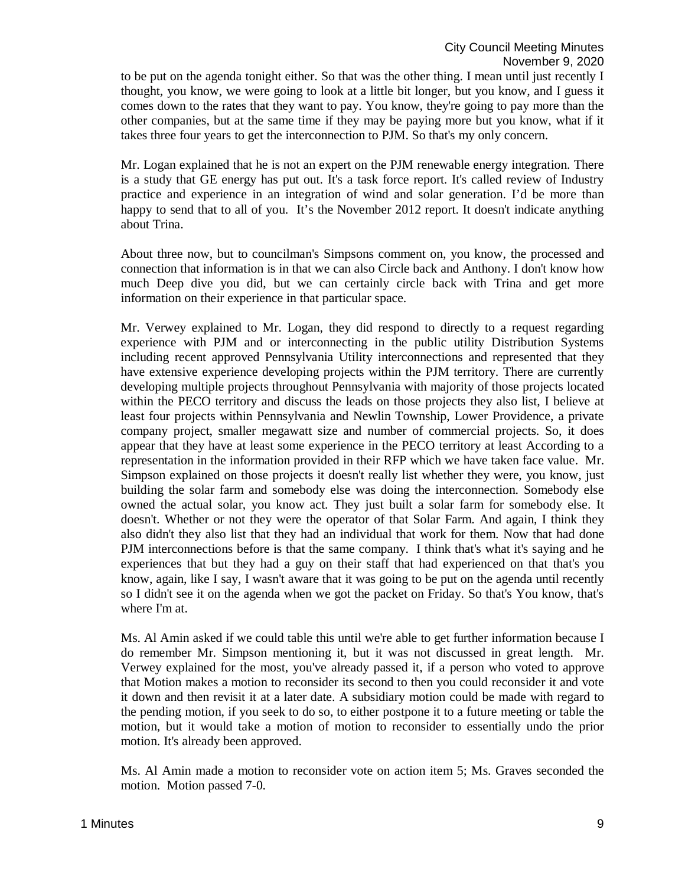to be put on the agenda tonight either. So that was the other thing. I mean until just recently I thought, you know, we were going to look at a little bit longer, but you know, and I guess it comes down to the rates that they want to pay. You know, they're going to pay more than the other companies, but at the same time if they may be paying more but you know, what if it takes three four years to get the interconnection to PJM. So that's my only concern.

Mr. Logan explained that he is not an expert on the PJM renewable energy integration. There is a study that GE energy has put out. It's a task force report. It's called review of Industry practice and experience in an integration of wind and solar generation. I'd be more than happy to send that to all of you. It's the November 2012 report. It doesn't indicate anything about Trina.

About three now, but to councilman's Simpsons comment on, you know, the processed and connection that information is in that we can also Circle back and Anthony. I don't know how much Deep dive you did, but we can certainly circle back with Trina and get more information on their experience in that particular space.

Mr. Verwey explained to Mr. Logan, they did respond to directly to a request regarding experience with PJM and or interconnecting in the public utility Distribution Systems including recent approved Pennsylvania Utility interconnections and represented that they have extensive experience developing projects within the PJM territory. There are currently developing multiple projects throughout Pennsylvania with majority of those projects located within the PECO territory and discuss the leads on those projects they also list, I believe at least four projects within Pennsylvania and Newlin Township, Lower Providence, a private company project, smaller megawatt size and number of commercial projects. So, it does appear that they have at least some experience in the PECO territory at least According to a representation in the information provided in their RFP which we have taken face value. Mr. Simpson explained on those projects it doesn't really list whether they were, you know, just building the solar farm and somebody else was doing the interconnection. Somebody else owned the actual solar, you know act. They just built a solar farm for somebody else. It doesn't. Whether or not they were the operator of that Solar Farm. And again, I think they also didn't they also list that they had an individual that work for them. Now that had done PJM interconnections before is that the same company. I think that's what it's saying and he experiences that but they had a guy on their staff that had experienced on that that's you know, again, like I say, I wasn't aware that it was going to be put on the agenda until recently so I didn't see it on the agenda when we got the packet on Friday. So that's You know, that's where I'm at.

Ms. Al Amin asked if we could table this until we're able to get further information because I do remember Mr. Simpson mentioning it, but it was not discussed in great length. Mr. Verwey explained for the most, you've already passed it, if a person who voted to approve that Motion makes a motion to reconsider its second to then you could reconsider it and vote it down and then revisit it at a later date. A subsidiary motion could be made with regard to the pending motion, if you seek to do so, to either postpone it to a future meeting or table the motion, but it would take a motion of motion to reconsider to essentially undo the prior motion. It's already been approved.

Ms. Al Amin made a motion to reconsider vote on action item 5; Ms. Graves seconded the motion. Motion passed 7-0.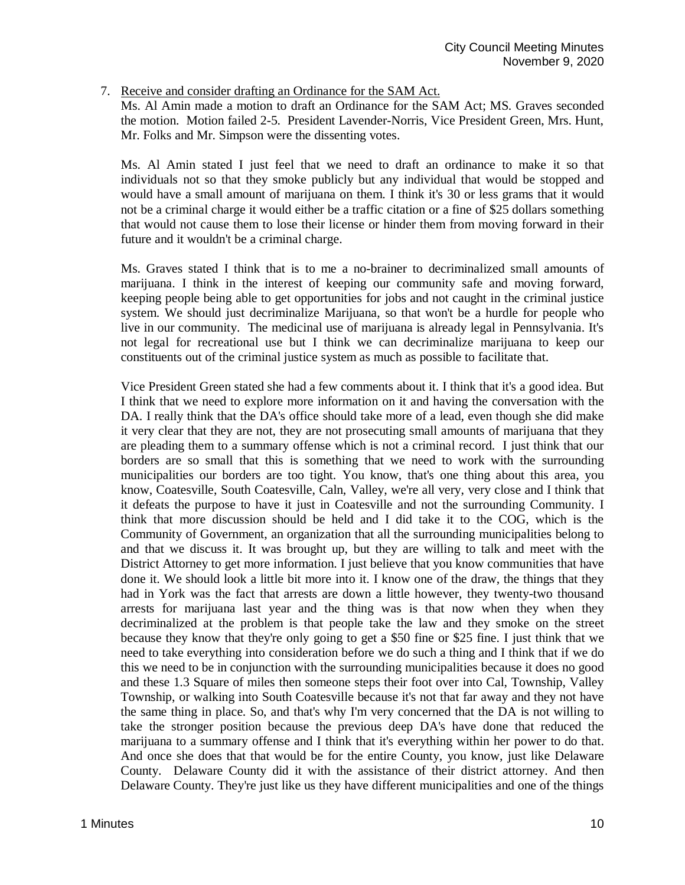7. Receive and consider drafting an Ordinance for the SAM Act.

Ms. Al Amin made a motion to draft an Ordinance for the SAM Act; MS. Graves seconded the motion. Motion failed 2-5. President Lavender-Norris, Vice President Green, Mrs. Hunt, Mr. Folks and Mr. Simpson were the dissenting votes.

Ms. Al Amin stated I just feel that we need to draft an ordinance to make it so that individuals not so that they smoke publicly but any individual that would be stopped and would have a small amount of marijuana on them. I think it's 30 or less grams that it would not be a criminal charge it would either be a traffic citation or a fine of \$25 dollars something that would not cause them to lose their license or hinder them from moving forward in their future and it wouldn't be a criminal charge.

Ms. Graves stated I think that is to me a no-brainer to decriminalized small amounts of marijuana. I think in the interest of keeping our community safe and moving forward, keeping people being able to get opportunities for jobs and not caught in the criminal justice system. We should just decriminalize Marijuana, so that won't be a hurdle for people who live in our community. The medicinal use of marijuana is already legal in Pennsylvania. It's not legal for recreational use but I think we can decriminalize marijuana to keep our constituents out of the criminal justice system as much as possible to facilitate that.

Vice President Green stated she had a few comments about it. I think that it's a good idea. But I think that we need to explore more information on it and having the conversation with the DA. I really think that the DA's office should take more of a lead, even though she did make it very clear that they are not, they are not prosecuting small amounts of marijuana that they are pleading them to a summary offense which is not a criminal record. I just think that our borders are so small that this is something that we need to work with the surrounding municipalities our borders are too tight. You know, that's one thing about this area, you know, Coatesville, South Coatesville, Caln, Valley, we're all very, very close and I think that it defeats the purpose to have it just in Coatesville and not the surrounding Community. I think that more discussion should be held and I did take it to the COG, which is the Community of Government, an organization that all the surrounding municipalities belong to and that we discuss it. It was brought up, but they are willing to talk and meet with the District Attorney to get more information. I just believe that you know communities that have done it. We should look a little bit more into it. I know one of the draw, the things that they had in York was the fact that arrests are down a little however, they twenty-two thousand arrests for marijuana last year and the thing was is that now when they when they decriminalized at the problem is that people take the law and they smoke on the street because they know that they're only going to get a \$50 fine or \$25 fine. I just think that we need to take everything into consideration before we do such a thing and I think that if we do this we need to be in conjunction with the surrounding municipalities because it does no good and these 1.3 Square of miles then someone steps their foot over into Cal, Township, Valley Township, or walking into South Coatesville because it's not that far away and they not have the same thing in place. So, and that's why I'm very concerned that the DA is not willing to take the stronger position because the previous deep DA's have done that reduced the marijuana to a summary offense and I think that it's everything within her power to do that. And once she does that that would be for the entire County, you know, just like Delaware County. Delaware County did it with the assistance of their district attorney. And then Delaware County. They're just like us they have different municipalities and one of the things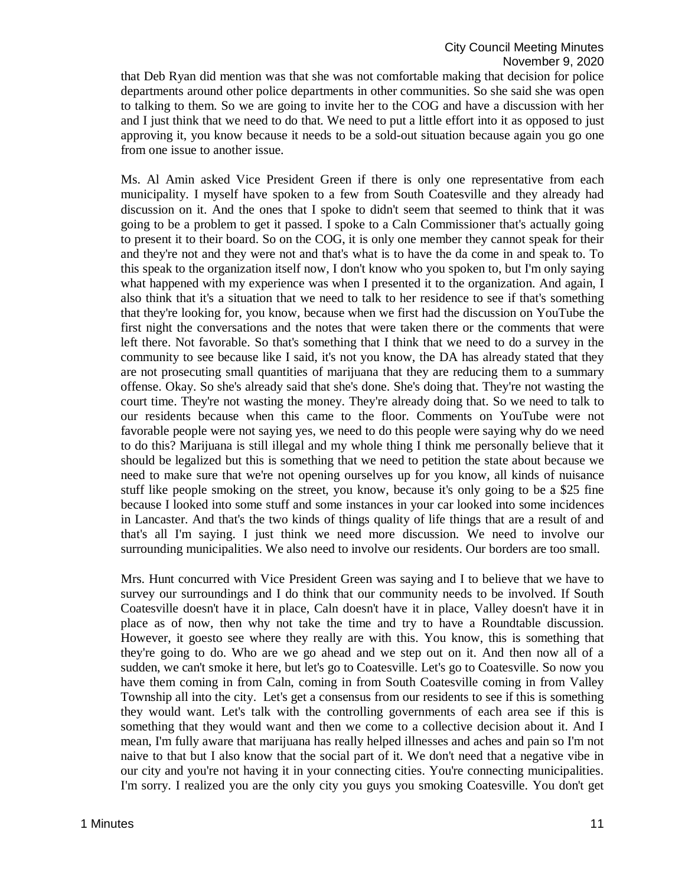that Deb Ryan did mention was that she was not comfortable making that decision for police departments around other police departments in other communities. So she said she was open to talking to them. So we are going to invite her to the COG and have a discussion with her and I just think that we need to do that. We need to put a little effort into it as opposed to just approving it, you know because it needs to be a sold-out situation because again you go one from one issue to another issue.

Ms. Al Amin asked Vice President Green if there is only one representative from each municipality. I myself have spoken to a few from South Coatesville and they already had discussion on it. And the ones that I spoke to didn't seem that seemed to think that it was going to be a problem to get it passed. I spoke to a Caln Commissioner that's actually going to present it to their board. So on the COG, it is only one member they cannot speak for their and they're not and they were not and that's what is to have the da come in and speak to. To this speak to the organization itself now, I don't know who you spoken to, but I'm only saying what happened with my experience was when I presented it to the organization. And again, I also think that it's a situation that we need to talk to her residence to see if that's something that they're looking for, you know, because when we first had the discussion on YouTube the first night the conversations and the notes that were taken there or the comments that were left there. Not favorable. So that's something that I think that we need to do a survey in the community to see because like I said, it's not you know, the DA has already stated that they are not prosecuting small quantities of marijuana that they are reducing them to a summary offense. Okay. So she's already said that she's done. She's doing that. They're not wasting the court time. They're not wasting the money. They're already doing that. So we need to talk to our residents because when this came to the floor. Comments on YouTube were not favorable people were not saying yes, we need to do this people were saying why do we need to do this? Marijuana is still illegal and my whole thing I think me personally believe that it should be legalized but this is something that we need to petition the state about because we need to make sure that we're not opening ourselves up for you know, all kinds of nuisance stuff like people smoking on the street, you know, because it's only going to be a \$25 fine because I looked into some stuff and some instances in your car looked into some incidences in Lancaster. And that's the two kinds of things quality of life things that are a result of and that's all I'm saying. I just think we need more discussion. We need to involve our surrounding municipalities. We also need to involve our residents. Our borders are too small.

Mrs. Hunt concurred with Vice President Green was saying and I to believe that we have to survey our surroundings and I do think that our community needs to be involved. If South Coatesville doesn't have it in place, Caln doesn't have it in place, Valley doesn't have it in place as of now, then why not take the time and try to have a Roundtable discussion. However, it goesto see where they really are with this. You know, this is something that they're going to do. Who are we go ahead and we step out on it. And then now all of a sudden, we can't smoke it here, but let's go to Coatesville. Let's go to Coatesville. So now you have them coming in from Caln, coming in from South Coatesville coming in from Valley Township all into the city. Let's get a consensus from our residents to see if this is something they would want. Let's talk with the controlling governments of each area see if this is something that they would want and then we come to a collective decision about it. And I mean, I'm fully aware that marijuana has really helped illnesses and aches and pain so I'm not naive to that but I also know that the social part of it. We don't need that a negative vibe in our city and you're not having it in your connecting cities. You're connecting municipalities. I'm sorry. I realized you are the only city you guys you smoking Coatesville. You don't get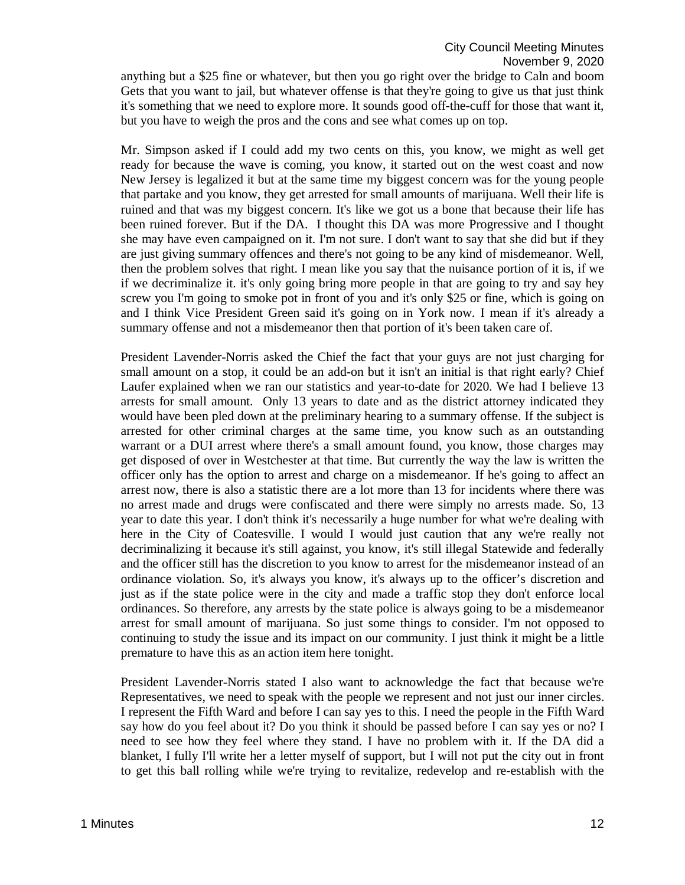anything but a \$25 fine or whatever, but then you go right over the bridge to Caln and boom Gets that you want to jail, but whatever offense is that they're going to give us that just think it's something that we need to explore more. It sounds good off-the-cuff for those that want it, but you have to weigh the pros and the cons and see what comes up on top.

Mr. Simpson asked if I could add my two cents on this, you know, we might as well get ready for because the wave is coming, you know, it started out on the west coast and now New Jersey is legalized it but at the same time my biggest concern was for the young people that partake and you know, they get arrested for small amounts of marijuana. Well their life is ruined and that was my biggest concern. It's like we got us a bone that because their life has been ruined forever. But if the DA. I thought this DA was more Progressive and I thought she may have even campaigned on it. I'm not sure. I don't want to say that she did but if they are just giving summary offences and there's not going to be any kind of misdemeanor. Well, then the problem solves that right. I mean like you say that the nuisance portion of it is, if we if we decriminalize it. it's only going bring more people in that are going to try and say hey screw you I'm going to smoke pot in front of you and it's only \$25 or fine, which is going on and I think Vice President Green said it's going on in York now. I mean if it's already a summary offense and not a misdemeanor then that portion of it's been taken care of.

President Lavender-Norris asked the Chief the fact that your guys are not just charging for small amount on a stop, it could be an add-on but it isn't an initial is that right early? Chief Laufer explained when we ran our statistics and year-to-date for 2020. We had I believe 13 arrests for small amount. Only 13 years to date and as the district attorney indicated they would have been pled down at the preliminary hearing to a summary offense. If the subject is arrested for other criminal charges at the same time, you know such as an outstanding warrant or a DUI arrest where there's a small amount found, you know, those charges may get disposed of over in Westchester at that time. But currently the way the law is written the officer only has the option to arrest and charge on a misdemeanor. If he's going to affect an arrest now, there is also a statistic there are a lot more than 13 for incidents where there was no arrest made and drugs were confiscated and there were simply no arrests made. So, 13 year to date this year. I don't think it's necessarily a huge number for what we're dealing with here in the City of Coatesville. I would I would just caution that any we're really not decriminalizing it because it's still against, you know, it's still illegal Statewide and federally and the officer still has the discretion to you know to arrest for the misdemeanor instead of an ordinance violation. So, it's always you know, it's always up to the officer's discretion and just as if the state police were in the city and made a traffic stop they don't enforce local ordinances. So therefore, any arrests by the state police is always going to be a misdemeanor arrest for small amount of marijuana. So just some things to consider. I'm not opposed to continuing to study the issue and its impact on our community. I just think it might be a little premature to have this as an action item here tonight.

President Lavender-Norris stated I also want to acknowledge the fact that because we're Representatives, we need to speak with the people we represent and not just our inner circles. I represent the Fifth Ward and before I can say yes to this. I need the people in the Fifth Ward say how do you feel about it? Do you think it should be passed before I can say yes or no? I need to see how they feel where they stand. I have no problem with it. If the DA did a blanket, I fully I'll write her a letter myself of support, but I will not put the city out in front to get this ball rolling while we're trying to revitalize, redevelop and re-establish with the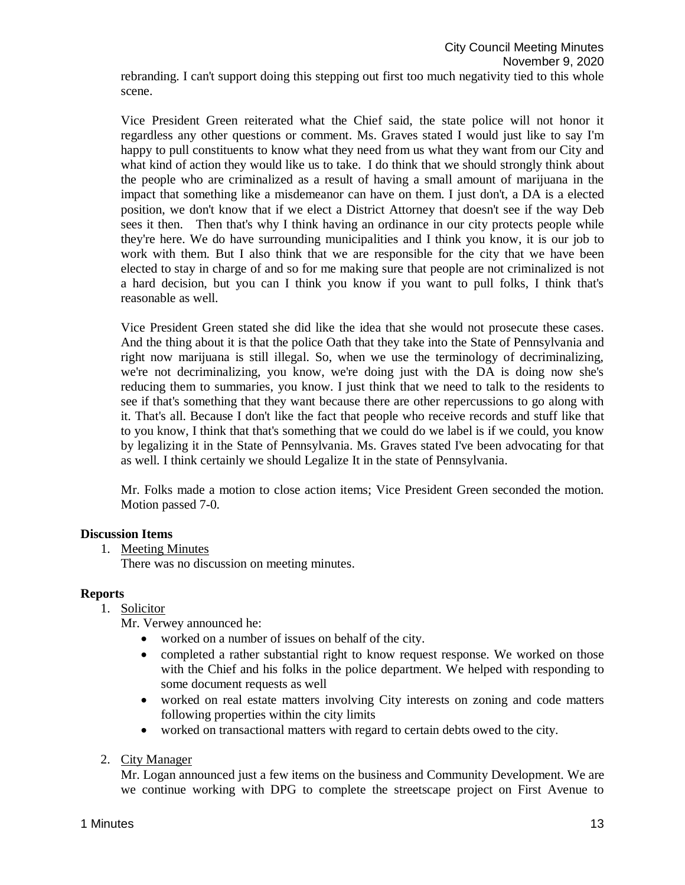Vice President Green reiterated what the Chief said, the state police will not honor it regardless any other questions or comment. Ms. Graves stated I would just like to say I'm happy to pull constituents to know what they need from us what they want from our City and what kind of action they would like us to take. I do think that we should strongly think about the people who are criminalized as a result of having a small amount of marijuana in the impact that something like a misdemeanor can have on them. I just don't, a DA is a elected position, we don't know that if we elect a District Attorney that doesn't see if the way Deb sees it then. Then that's why I think having an ordinance in our city protects people while they're here. We do have surrounding municipalities and I think you know, it is our job to work with them. But I also think that we are responsible for the city that we have been elected to stay in charge of and so for me making sure that people are not criminalized is not a hard decision, but you can I think you know if you want to pull folks, I think that's reasonable as well.

Vice President Green stated she did like the idea that she would not prosecute these cases. And the thing about it is that the police Oath that they take into the State of Pennsylvania and right now marijuana is still illegal. So, when we use the terminology of decriminalizing, we're not decriminalizing, you know, we're doing just with the DA is doing now she's reducing them to summaries, you know. I just think that we need to talk to the residents to see if that's something that they want because there are other repercussions to go along with it. That's all. Because I don't like the fact that people who receive records and stuff like that to you know, I think that that's something that we could do we label is if we could, you know by legalizing it in the State of Pennsylvania. Ms. Graves stated I've been advocating for that as well. I think certainly we should Legalize It in the state of Pennsylvania.

Mr. Folks made a motion to close action items; Vice President Green seconded the motion. Motion passed 7-0.

# **Discussion Items**

1. Meeting Minutes

There was no discussion on meeting minutes.

# **Reports**

1. Solicitor

Mr. Verwey announced he:

- worked on a number of issues on behalf of the city.
- completed a rather substantial right to know request response. We worked on those with the Chief and his folks in the police department. We helped with responding to some document requests as well
- worked on real estate matters involving City interests on zoning and code matters following properties within the city limits
- worked on transactional matters with regard to certain debts owed to the city.
- 2. City Manager

Mr. Logan announced just a few items on the business and Community Development. We are we continue working with DPG to complete the streetscape project on First Avenue to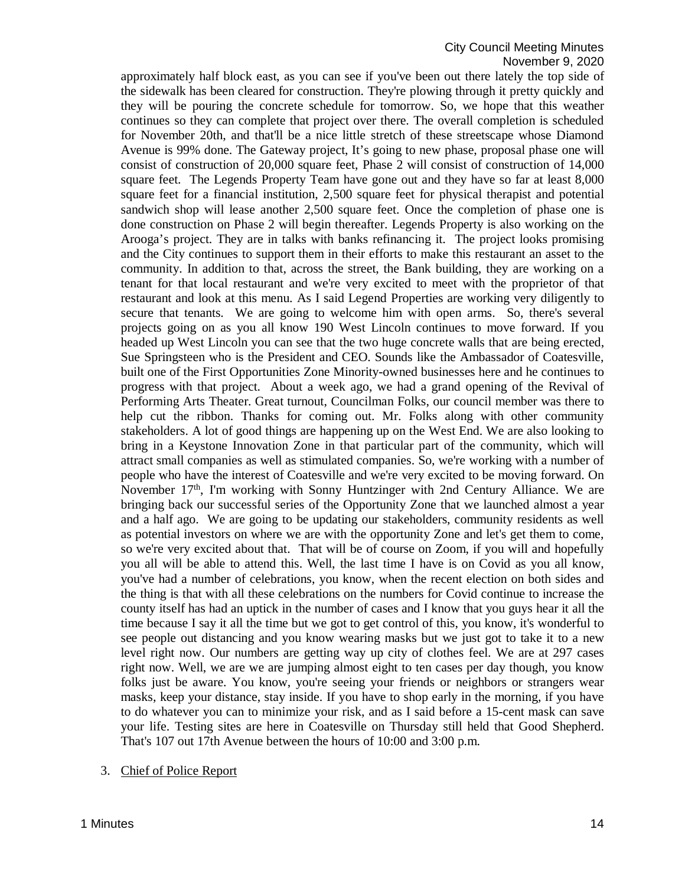approximately half block east, as you can see if you've been out there lately the top side of the sidewalk has been cleared for construction. They're plowing through it pretty quickly and they will be pouring the concrete schedule for tomorrow. So, we hope that this weather continues so they can complete that project over there. The overall completion is scheduled for November 20th, and that'll be a nice little stretch of these streetscape whose Diamond Avenue is 99% done. The Gateway project, It's going to new phase, proposal phase one will consist of construction of 20,000 square feet, Phase 2 will consist of construction of 14,000 square feet. The Legends Property Team have gone out and they have so far at least 8,000 square feet for a financial institution, 2,500 square feet for physical therapist and potential sandwich shop will lease another 2,500 square feet. Once the completion of phase one is done construction on Phase 2 will begin thereafter. Legends Property is also working on the Arooga's project. They are in talks with banks refinancing it. The project looks promising and the City continues to support them in their efforts to make this restaurant an asset to the community. In addition to that, across the street, the Bank building, they are working on a tenant for that local restaurant and we're very excited to meet with the proprietor of that restaurant and look at this menu. As I said Legend Properties are working very diligently to secure that tenants. We are going to welcome him with open arms. So, there's several projects going on as you all know 190 West Lincoln continues to move forward. If you headed up West Lincoln you can see that the two huge concrete walls that are being erected, Sue Springsteen who is the President and CEO. Sounds like the Ambassador of Coatesville, built one of the First Opportunities Zone Minority-owned businesses here and he continues to progress with that project. About a week ago, we had a grand opening of the Revival of Performing Arts Theater. Great turnout, Councilman Folks, our council member was there to help cut the ribbon. Thanks for coming out. Mr. Folks along with other community stakeholders. A lot of good things are happening up on the West End. We are also looking to bring in a Keystone Innovation Zone in that particular part of the community, which will attract small companies as well as stimulated companies. So, we're working with a number of people who have the interest of Coatesville and we're very excited to be moving forward. On November  $17<sup>th</sup>$ , I'm working with Sonny Huntzinger with 2nd Century Alliance. We are bringing back our successful series of the Opportunity Zone that we launched almost a year and a half ago. We are going to be updating our stakeholders, community residents as well as potential investors on where we are with the opportunity Zone and let's get them to come, so we're very excited about that. That will be of course on Zoom, if you will and hopefully you all will be able to attend this. Well, the last time I have is on Covid as you all know, you've had a number of celebrations, you know, when the recent election on both sides and the thing is that with all these celebrations on the numbers for Covid continue to increase the county itself has had an uptick in the number of cases and I know that you guys hear it all the time because I say it all the time but we got to get control of this, you know, it's wonderful to see people out distancing and you know wearing masks but we just got to take it to a new level right now. Our numbers are getting way up city of clothes feel. We are at 297 cases right now. Well, we are we are jumping almost eight to ten cases per day though, you know folks just be aware. You know, you're seeing your friends or neighbors or strangers wear masks, keep your distance, stay inside. If you have to shop early in the morning, if you have to do whatever you can to minimize your risk, and as I said before a 15-cent mask can save your life. Testing sites are here in Coatesville on Thursday still held that Good Shepherd. That's 107 out 17th Avenue between the hours of 10:00 and 3:00 p.m.

3. Chief of Police Report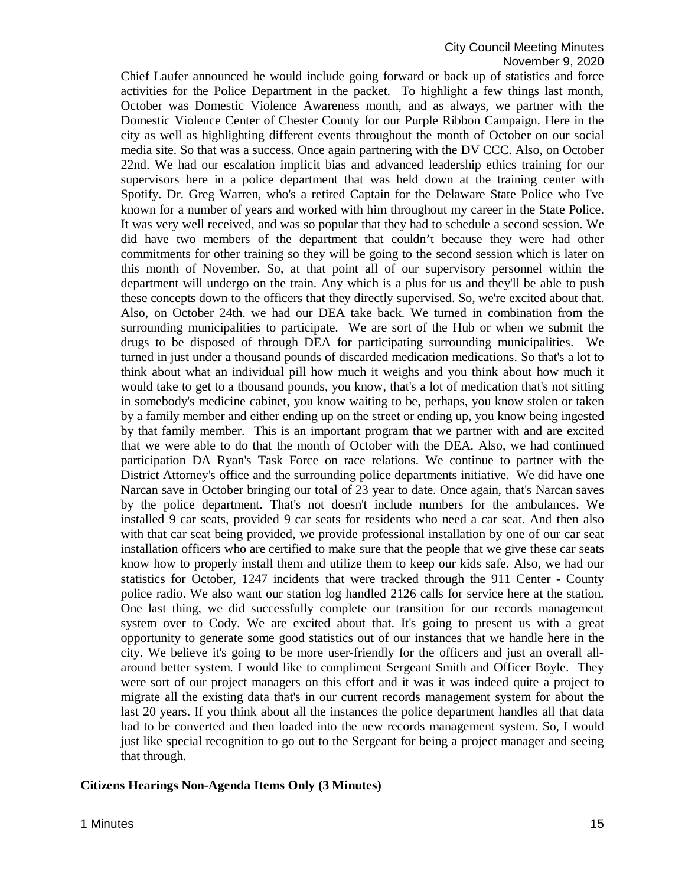Chief Laufer announced he would include going forward or back up of statistics and force activities for the Police Department in the packet. To highlight a few things last month, October was Domestic Violence Awareness month, and as always, we partner with the Domestic Violence Center of Chester County for our Purple Ribbon Campaign. Here in the city as well as highlighting different events throughout the month of October on our social media site. So that was a success. Once again partnering with the DV CCC. Also, on October 22nd. We had our escalation implicit bias and advanced leadership ethics training for our supervisors here in a police department that was held down at the training center with Spotify. Dr. Greg Warren, who's a retired Captain for the Delaware State Police who I've known for a number of years and worked with him throughout my career in the State Police. It was very well received, and was so popular that they had to schedule a second session. We did have two members of the department that couldn't because they were had other commitments for other training so they will be going to the second session which is later on this month of November. So, at that point all of our supervisory personnel within the department will undergo on the train. Any which is a plus for us and they'll be able to push these concepts down to the officers that they directly supervised. So, we're excited about that. Also, on October 24th. we had our DEA take back. We turned in combination from the surrounding municipalities to participate. We are sort of the Hub or when we submit the drugs to be disposed of through DEA for participating surrounding municipalities. We turned in just under a thousand pounds of discarded medication medications. So that's a lot to think about what an individual pill how much it weighs and you think about how much it would take to get to a thousand pounds, you know, that's a lot of medication that's not sitting in somebody's medicine cabinet, you know waiting to be, perhaps, you know stolen or taken by a family member and either ending up on the street or ending up, you know being ingested by that family member. This is an important program that we partner with and are excited that we were able to do that the month of October with the DEA. Also, we had continued participation DA Ryan's Task Force on race relations. We continue to partner with the District Attorney's office and the surrounding police departments initiative. We did have one Narcan save in October bringing our total of 23 year to date. Once again, that's Narcan saves by the police department. That's not doesn't include numbers for the ambulances. We installed 9 car seats, provided 9 car seats for residents who need a car seat. And then also with that car seat being provided, we provide professional installation by one of our car seat installation officers who are certified to make sure that the people that we give these car seats know how to properly install them and utilize them to keep our kids safe. Also, we had our statistics for October, 1247 incidents that were tracked through the 911 Center - County police radio. We also want our station log handled 2126 calls for service here at the station. One last thing, we did successfully complete our transition for our records management system over to Cody. We are excited about that. It's going to present us with a great opportunity to generate some good statistics out of our instances that we handle here in the city. We believe it's going to be more user-friendly for the officers and just an overall allaround better system. I would like to compliment Sergeant Smith and Officer Boyle. They were sort of our project managers on this effort and it was it was indeed quite a project to migrate all the existing data that's in our current records management system for about the last 20 years. If you think about all the instances the police department handles all that data had to be converted and then loaded into the new records management system. So, I would just like special recognition to go out to the Sergeant for being a project manager and seeing that through.

#### **Citizens Hearings Non-Agenda Items Only (3 Minutes)**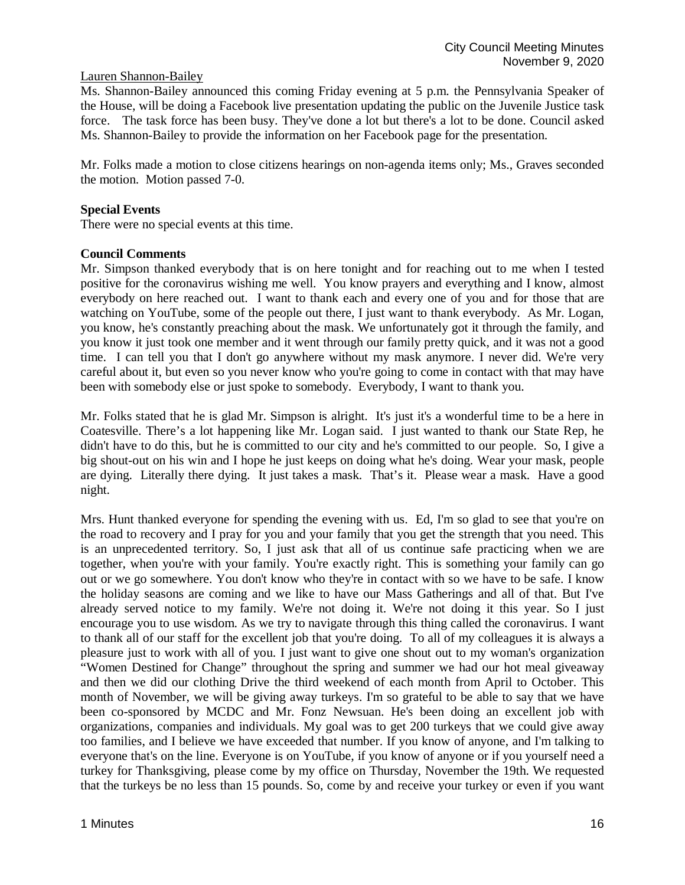# Lauren Shannon-Bailey

Ms. Shannon-Bailey announced this coming Friday evening at 5 p.m. the Pennsylvania Speaker of the House, will be doing a Facebook live presentation updating the public on the Juvenile Justice task force. The task force has been busy. They've done a lot but there's a lot to be done. Council asked Ms. Shannon-Bailey to provide the information on her Facebook page for the presentation.

Mr. Folks made a motion to close citizens hearings on non-agenda items only; Ms., Graves seconded the motion. Motion passed 7-0.

# **Special Events**

There were no special events at this time.

### **Council Comments**

Mr. Simpson thanked everybody that is on here tonight and for reaching out to me when I tested positive for the coronavirus wishing me well. You know prayers and everything and I know, almost everybody on here reached out. I want to thank each and every one of you and for those that are watching on YouTube, some of the people out there, I just want to thank everybody. As Mr. Logan, you know, he's constantly preaching about the mask. We unfortunately got it through the family, and you know it just took one member and it went through our family pretty quick, and it was not a good time. I can tell you that I don't go anywhere without my mask anymore. I never did. We're very careful about it, but even so you never know who you're going to come in contact with that may have been with somebody else or just spoke to somebody. Everybody, I want to thank you.

Mr. Folks stated that he is glad Mr. Simpson is alright. It's just it's a wonderful time to be a here in Coatesville. There's a lot happening like Mr. Logan said. I just wanted to thank our State Rep, he didn't have to do this, but he is committed to our city and he's committed to our people. So, I give a big shout-out on his win and I hope he just keeps on doing what he's doing. Wear your mask, people are dying. Literally there dying. It just takes a mask. That's it. Please wear a mask. Have a good night.

Mrs. Hunt thanked everyone for spending the evening with us. Ed, I'm so glad to see that you're on the road to recovery and I pray for you and your family that you get the strength that you need. This is an unprecedented territory. So, I just ask that all of us continue safe practicing when we are together, when you're with your family. You're exactly right. This is something your family can go out or we go somewhere. You don't know who they're in contact with so we have to be safe. I know the holiday seasons are coming and we like to have our Mass Gatherings and all of that. But I've already served notice to my family. We're not doing it. We're not doing it this year. So I just encourage you to use wisdom. As we try to navigate through this thing called the coronavirus. I want to thank all of our staff for the excellent job that you're doing. To all of my colleagues it is always a pleasure just to work with all of you. I just want to give one shout out to my woman's organization "Women Destined for Change" throughout the spring and summer we had our hot meal giveaway and then we did our clothing Drive the third weekend of each month from April to October. This month of November, we will be giving away turkeys. I'm so grateful to be able to say that we have been co-sponsored by MCDC and Mr. Fonz Newsuan. He's been doing an excellent job with organizations, companies and individuals. My goal was to get 200 turkeys that we could give away too families, and I believe we have exceeded that number. If you know of anyone, and I'm talking to everyone that's on the line. Everyone is on YouTube, if you know of anyone or if you yourself need a turkey for Thanksgiving, please come by my office on Thursday, November the 19th. We requested that the turkeys be no less than 15 pounds. So, come by and receive your turkey or even if you want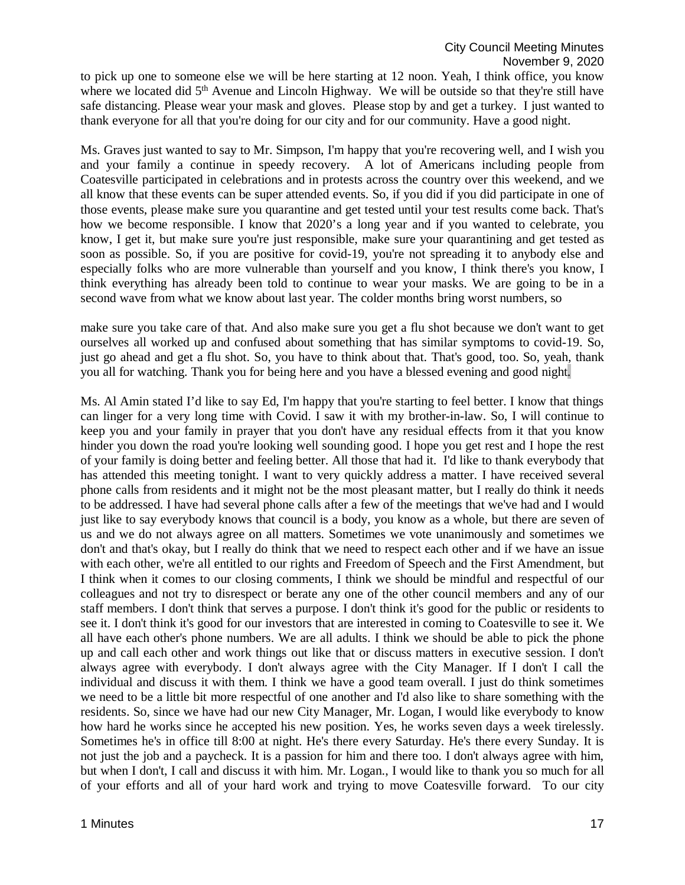to pick up one to someone else we will be here starting at 12 noon. Yeah, I think office, you know where we located did 5<sup>th</sup> Avenue and Lincoln Highway. We will be outside so that they're still have safe distancing. Please wear your mask and gloves. Please stop by and get a turkey. I just wanted to thank everyone for all that you're doing for our city and for our community. Have a good night.

Ms. Graves just wanted to say to Mr. Simpson, I'm happy that you're recovering well, and I wish you and your family a continue in speedy recovery. A lot of Americans including people from Coatesville participated in celebrations and in protests across the country over this weekend, and we all know that these events can be super attended events. So, if you did if you did participate in one of those events, please make sure you quarantine and get tested until your test results come back. That's how we become responsible. I know that 2020's a long year and if you wanted to celebrate, you know, I get it, but make sure you're just responsible, make sure your quarantining and get tested as soon as possible. So, if you are positive for covid-19, you're not spreading it to anybody else and especially folks who are more vulnerable than yourself and you know, I think there's you know, I think everything has already been told to continue to wear your masks. We are going to be in a second wave from what we know about last year. The colder months bring worst numbers, so

make sure you take care of that. And also make sure you get a flu shot because we don't want to get ourselves all worked up and confused about something that has similar symptoms to covid-19. So, just go ahead and get a flu shot. So, you have to think about that. That's good, too. So, yeah, thank you all for watching. Thank you for being here and you have a blessed evening and good night.

Ms. Al Amin stated I'd like to say Ed, I'm happy that you're starting to feel better. I know that things can linger for a very long time with Covid. I saw it with my brother-in-law. So, I will continue to keep you and your family in prayer that you don't have any residual effects from it that you know hinder you down the road you're looking well sounding good. I hope you get rest and I hope the rest of your family is doing better and feeling better. All those that had it. I'd like to thank everybody that has attended this meeting tonight. I want to very quickly address a matter. I have received several phone calls from residents and it might not be the most pleasant matter, but I really do think it needs to be addressed. I have had several phone calls after a few of the meetings that we've had and I would just like to say everybody knows that council is a body, you know as a whole, but there are seven of us and we do not always agree on all matters. Sometimes we vote unanimously and sometimes we don't and that's okay, but I really do think that we need to respect each other and if we have an issue with each other, we're all entitled to our rights and Freedom of Speech and the First Amendment, but I think when it comes to our closing comments, I think we should be mindful and respectful of our colleagues and not try to disrespect or berate any one of the other council members and any of our staff members. I don't think that serves a purpose. I don't think it's good for the public or residents to see it. I don't think it's good for our investors that are interested in coming to Coatesville to see it. We all have each other's phone numbers. We are all adults. I think we should be able to pick the phone up and call each other and work things out like that or discuss matters in executive session. I don't always agree with everybody. I don't always agree with the City Manager. If I don't I call the individual and discuss it with them. I think we have a good team overall. I just do think sometimes we need to be a little bit more respectful of one another and I'd also like to share something with the residents. So, since we have had our new City Manager, Mr. Logan, I would like everybody to know how hard he works since he accepted his new position. Yes, he works seven days a week tirelessly. Sometimes he's in office till 8:00 at night. He's there every Saturday. He's there every Sunday. It is not just the job and a paycheck. It is a passion for him and there too. I don't always agree with him, but when I don't, I call and discuss it with him. Mr. Logan., I would like to thank you so much for all of your efforts and all of your hard work and trying to move Coatesville forward. To our city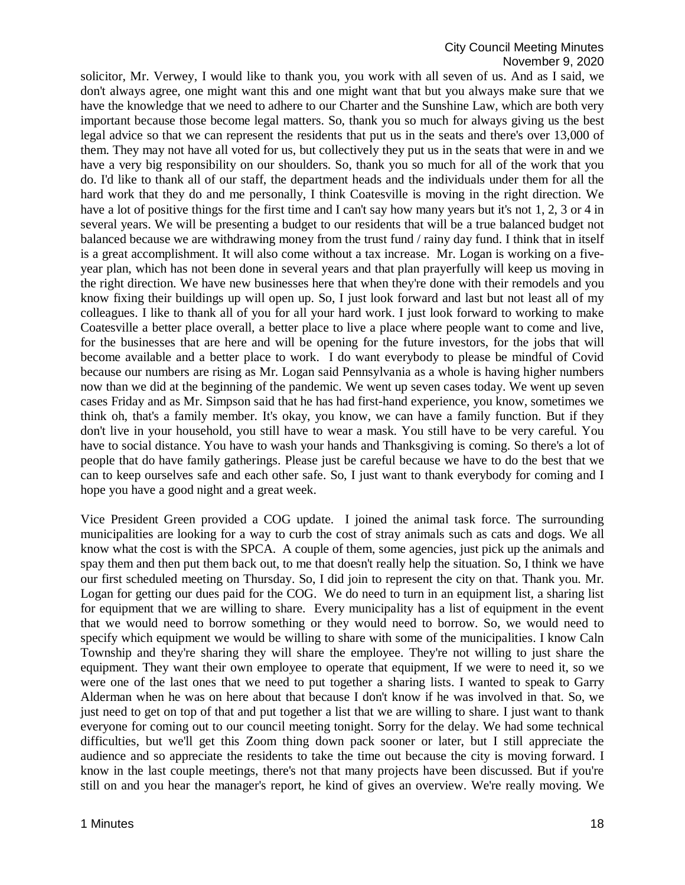solicitor, Mr. Verwey, I would like to thank you, you work with all seven of us. And as I said, we don't always agree, one might want this and one might want that but you always make sure that we have the knowledge that we need to adhere to our Charter and the Sunshine Law, which are both very important because those become legal matters. So, thank you so much for always giving us the best legal advice so that we can represent the residents that put us in the seats and there's over 13,000 of them. They may not have all voted for us, but collectively they put us in the seats that were in and we have a very big responsibility on our shoulders. So, thank you so much for all of the work that you do. I'd like to thank all of our staff, the department heads and the individuals under them for all the hard work that they do and me personally, I think Coatesville is moving in the right direction. We have a lot of positive things for the first time and I can't say how many years but it's not 1, 2, 3 or 4 in several years. We will be presenting a budget to our residents that will be a true balanced budget not balanced because we are withdrawing money from the trust fund / rainy day fund. I think that in itself is a great accomplishment. It will also come without a tax increase. Mr. Logan is working on a fiveyear plan, which has not been done in several years and that plan prayerfully will keep us moving in the right direction. We have new businesses here that when they're done with their remodels and you know fixing their buildings up will open up. So, I just look forward and last but not least all of my colleagues. I like to thank all of you for all your hard work. I just look forward to working to make Coatesville a better place overall, a better place to live a place where people want to come and live, for the businesses that are here and will be opening for the future investors, for the jobs that will become available and a better place to work. I do want everybody to please be mindful of Covid because our numbers are rising as Mr. Logan said Pennsylvania as a whole is having higher numbers now than we did at the beginning of the pandemic. We went up seven cases today. We went up seven cases Friday and as Mr. Simpson said that he has had first-hand experience, you know, sometimes we think oh, that's a family member. It's okay, you know, we can have a family function. But if they don't live in your household, you still have to wear a mask. You still have to be very careful. You have to social distance. You have to wash your hands and Thanksgiving is coming. So there's a lot of people that do have family gatherings. Please just be careful because we have to do the best that we can to keep ourselves safe and each other safe. So, I just want to thank everybody for coming and I hope you have a good night and a great week.

Vice President Green provided a COG update. I joined the animal task force. The surrounding municipalities are looking for a way to curb the cost of stray animals such as cats and dogs. We all know what the cost is with the SPCA. A couple of them, some agencies, just pick up the animals and spay them and then put them back out, to me that doesn't really help the situation. So, I think we have our first scheduled meeting on Thursday. So, I did join to represent the city on that. Thank you. Mr. Logan for getting our dues paid for the COG. We do need to turn in an equipment list, a sharing list for equipment that we are willing to share. Every municipality has a list of equipment in the event that we would need to borrow something or they would need to borrow. So, we would need to specify which equipment we would be willing to share with some of the municipalities. I know Caln Township and they're sharing they will share the employee. They're not willing to just share the equipment. They want their own employee to operate that equipment, If we were to need it, so we were one of the last ones that we need to put together a sharing lists. I wanted to speak to Garry Alderman when he was on here about that because I don't know if he was involved in that. So, we just need to get on top of that and put together a list that we are willing to share. I just want to thank everyone for coming out to our council meeting tonight. Sorry for the delay. We had some technical difficulties, but we'll get this Zoom thing down pack sooner or later, but I still appreciate the audience and so appreciate the residents to take the time out because the city is moving forward. I know in the last couple meetings, there's not that many projects have been discussed. But if you're still on and you hear the manager's report, he kind of gives an overview. We're really moving. We